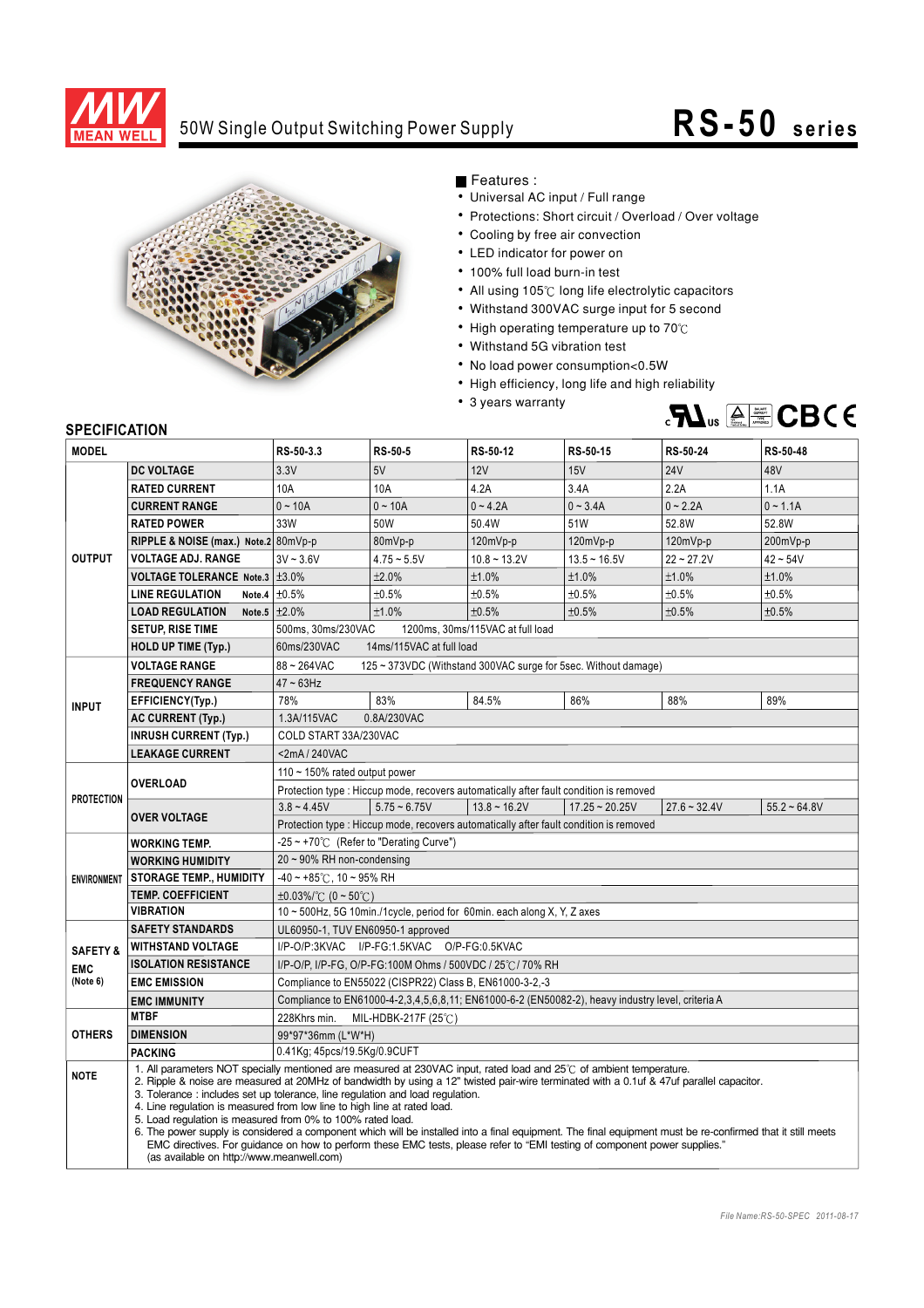

## 50W Single Output Switching Power Supply

## **RS-50 series**



Features :

- Universal AC input / Full range
- Protections: Short circuit / Overload / Over voltage
- Cooling by free air convection
- LED indicator for power on
- 100% full load burn-in test
- $\bullet$  All using 105 $\degree$  long life electrolytic capacitors
- Withstand 300VAC surge input for 5 second
- High operating temperature up to  $70^{\circ}$ C
- Withstand 5G vibration test
- No load power consumption<0.5W
- High efficiency, long life and high reliability
- 3 years warranty



## **SPECIFICATION**

| <b>MODEL</b>        |                                                                                                                                                                                                                                                                                                                                                                                                                                                                                            | RS-50-3.3                                                                                                                                                                                                                                                                                                                             | RS-50-5        | RS-50-12                                                                               | RS-50-15         | RS-50-24       | RS-50-48             |  |
|---------------------|--------------------------------------------------------------------------------------------------------------------------------------------------------------------------------------------------------------------------------------------------------------------------------------------------------------------------------------------------------------------------------------------------------------------------------------------------------------------------------------------|---------------------------------------------------------------------------------------------------------------------------------------------------------------------------------------------------------------------------------------------------------------------------------------------------------------------------------------|----------------|----------------------------------------------------------------------------------------|------------------|----------------|----------------------|--|
| <b>OUTPUT</b>       | <b>DC VOLTAGE</b>                                                                                                                                                                                                                                                                                                                                                                                                                                                                          | 3.3V                                                                                                                                                                                                                                                                                                                                  | 5V             | 12V                                                                                    | 15V              | <b>24V</b>     | 48V                  |  |
|                     | <b>RATED CURRENT</b>                                                                                                                                                                                                                                                                                                                                                                                                                                                                       | 10A                                                                                                                                                                                                                                                                                                                                   | 10A            | 4.2A                                                                                   | 3.4A             | 2.2A           | 1.1A                 |  |
|                     | <b>CURRENT RANGE</b>                                                                                                                                                                                                                                                                                                                                                                                                                                                                       | $0 - 10A$                                                                                                                                                                                                                                                                                                                             | $0 - 10A$      | $0 - 4.2A$                                                                             | $0 - 3.4A$       | $0 - 2.2A$     | $0 - 1.1A$           |  |
|                     | <b>RATED POWER</b>                                                                                                                                                                                                                                                                                                                                                                                                                                                                         | 33W                                                                                                                                                                                                                                                                                                                                   | 50W            | 50.4W                                                                                  | 51W              | 52.8W          | 52.8W                |  |
|                     | RIPPLE & NOISE (max.) Note.2 80mVp-p                                                                                                                                                                                                                                                                                                                                                                                                                                                       |                                                                                                                                                                                                                                                                                                                                       | 80mVp-p        | 120mVp-p                                                                               | $120mVp-p$       | 120mVp-p       | 200mVp-p             |  |
|                     | <b>VOLTAGE ADJ. RANGE</b>                                                                                                                                                                                                                                                                                                                                                                                                                                                                  | $3V - 3.6V$                                                                                                                                                                                                                                                                                                                           | $4.75 - 5.5V$  | $10.8 - 13.2V$                                                                         | $13.5 - 16.5V$   | $22 - 27.2V$   | $42 - 54V$           |  |
|                     | VOLTAGE TOLERANCE Note.3 ±3.0%                                                                                                                                                                                                                                                                                                                                                                                                                                                             |                                                                                                                                                                                                                                                                                                                                       | ±2.0%          | ±1.0%                                                                                  | ±1.0%            | ±1.0%          | ±1.0%                |  |
|                     | <b>LINE REGULATION</b>                                                                                                                                                                                                                                                                                                                                                                                                                                                                     | Note.4 $\pm 0.5\%$                                                                                                                                                                                                                                                                                                                    | ±0.5%          | ±0.5%                                                                                  | ±0.5%            | ±0.5%          | ±0.5%                |  |
|                     | <b>LOAD REGULATION</b><br>Note.5                                                                                                                                                                                                                                                                                                                                                                                                                                                           | ±2.0%                                                                                                                                                                                                                                                                                                                                 | ±1.0%          | ±0.5%                                                                                  | ±0.5%            | ±0.5%          | ±0.5%                |  |
|                     | <b>SETUP, RISE TIME</b>                                                                                                                                                                                                                                                                                                                                                                                                                                                                    | 500ms, 30ms/230VAC<br>1200ms, 30ms/115VAC at full load                                                                                                                                                                                                                                                                                |                |                                                                                        |                  |                |                      |  |
|                     | <b>HOLD UP TIME (Typ.)</b>                                                                                                                                                                                                                                                                                                                                                                                                                                                                 | 60ms/230VAC<br>14ms/115VAC at full load                                                                                                                                                                                                                                                                                               |                |                                                                                        |                  |                |                      |  |
|                     | <b>VOLTAGE RANGE</b>                                                                                                                                                                                                                                                                                                                                                                                                                                                                       | 88~264VAC<br>125 ~ 373VDC (Withstand 300VAC surge for 5sec. Without damage)                                                                                                                                                                                                                                                           |                |                                                                                        |                  |                |                      |  |
| <b>INPUT</b>        | <b>FREQUENCY RANGE</b>                                                                                                                                                                                                                                                                                                                                                                                                                                                                     | $47 \sim 63$ Hz                                                                                                                                                                                                                                                                                                                       |                |                                                                                        |                  |                |                      |  |
|                     | EFFICIENCY(Typ.)                                                                                                                                                                                                                                                                                                                                                                                                                                                                           | 78%                                                                                                                                                                                                                                                                                                                                   | 83%            | 84.5%                                                                                  | 86%              | 88%            | 89%                  |  |
|                     | <b>AC CURRENT (Typ.)</b>                                                                                                                                                                                                                                                                                                                                                                                                                                                                   | 1.3A/115VAC<br>0.8A/230VAC                                                                                                                                                                                                                                                                                                            |                |                                                                                        |                  |                |                      |  |
|                     | <b>INRUSH CURRENT (Typ.)</b>                                                                                                                                                                                                                                                                                                                                                                                                                                                               | COLD START 33A/230VAC                                                                                                                                                                                                                                                                                                                 |                |                                                                                        |                  |                |                      |  |
|                     | <b>LEAKAGE CURRENT</b>                                                                                                                                                                                                                                                                                                                                                                                                                                                                     | <2mA/240VAC                                                                                                                                                                                                                                                                                                                           |                |                                                                                        |                  |                |                      |  |
| <b>PROTECTION</b>   | <b>OVERLOAD</b>                                                                                                                                                                                                                                                                                                                                                                                                                                                                            | 110 $\sim$ 150% rated output power                                                                                                                                                                                                                                                                                                    |                |                                                                                        |                  |                |                      |  |
|                     |                                                                                                                                                                                                                                                                                                                                                                                                                                                                                            | Protection type : Hiccup mode, recovers automatically after fault condition is removed                                                                                                                                                                                                                                                |                |                                                                                        |                  |                |                      |  |
|                     | <b>OVER VOLTAGE</b>                                                                                                                                                                                                                                                                                                                                                                                                                                                                        | $3.8 - 4.45V$                                                                                                                                                                                                                                                                                                                         | $5.75 - 6.75V$ | $13.8 - 16.2V$                                                                         | $17.25 - 20.25V$ | $27.6 - 32.4V$ | $55.2 \approx 64.8V$ |  |
|                     |                                                                                                                                                                                                                                                                                                                                                                                                                                                                                            |                                                                                                                                                                                                                                                                                                                                       |                | Protection type : Hiccup mode, recovers automatically after fault condition is removed |                  |                |                      |  |
| <b>ENVIRONMENT</b>  | <b>WORKING TEMP.</b>                                                                                                                                                                                                                                                                                                                                                                                                                                                                       | -25 ~ +70°C (Refer to "Derating Curve")                                                                                                                                                                                                                                                                                               |                |                                                                                        |                  |                |                      |  |
|                     | <b>WORKING HUMIDITY</b>                                                                                                                                                                                                                                                                                                                                                                                                                                                                    | 20 ~ 90% RH non-condensing                                                                                                                                                                                                                                                                                                            |                |                                                                                        |                  |                |                      |  |
|                     | <b>STORAGE TEMP., HUMIDITY</b>                                                                                                                                                                                                                                                                                                                                                                                                                                                             | $-40 \sim +85^{\circ}$ C, 10 ~ 95% RH                                                                                                                                                                                                                                                                                                 |                |                                                                                        |                  |                |                      |  |
|                     | <b>TEMP. COEFFICIENT</b>                                                                                                                                                                                                                                                                                                                                                                                                                                                                   | $\pm 0.03\%$ /°C (0~50°C)                                                                                                                                                                                                                                                                                                             |                |                                                                                        |                  |                |                      |  |
|                     | VIBRATION                                                                                                                                                                                                                                                                                                                                                                                                                                                                                  | $10 \sim 500$ Hz, 5G 10min./1cycle, period for 60min. each along X, Y, Z axes                                                                                                                                                                                                                                                         |                |                                                                                        |                  |                |                      |  |
|                     | <b>SAFETY STANDARDS</b><br>UL60950-1, TUV EN60950-1 approved                                                                                                                                                                                                                                                                                                                                                                                                                               |                                                                                                                                                                                                                                                                                                                                       |                |                                                                                        |                  |                |                      |  |
| <b>SAFETY &amp;</b> | <b>WITHSTAND VOLTAGE</b>                                                                                                                                                                                                                                                                                                                                                                                                                                                                   | I/P-O/P:3KVAC I/P-FG:1.5KVAC O/P-FG:0.5KVAC                                                                                                                                                                                                                                                                                           |                |                                                                                        |                  |                |                      |  |
| <b>EMC</b>          | <b>ISOLATION RESISTANCE</b>                                                                                                                                                                                                                                                                                                                                                                                                                                                                | I/P-O/P, I/P-FG, O/P-FG:100M Ohms / 500VDC / 25℃/ 70% RH                                                                                                                                                                                                                                                                              |                |                                                                                        |                  |                |                      |  |
| (Note 6)            | <b>EMC EMISSION</b>                                                                                                                                                                                                                                                                                                                                                                                                                                                                        | Compliance to EN55022 (CISPR22) Class B, EN61000-3-2,-3                                                                                                                                                                                                                                                                               |                |                                                                                        |                  |                |                      |  |
|                     | <b>EMC IMMUNITY</b>                                                                                                                                                                                                                                                                                                                                                                                                                                                                        | Compliance to EN61000-4-2,3,4,5,6,8,11; EN61000-6-2 (EN50082-2), heavy industry level, criteria A                                                                                                                                                                                                                                     |                |                                                                                        |                  |                |                      |  |
| <b>OTHERS</b>       | <b>MTBF</b>                                                                                                                                                                                                                                                                                                                                                                                                                                                                                | 228Khrs min.<br>MIL-HDBK-217F (25℃)                                                                                                                                                                                                                                                                                                   |                |                                                                                        |                  |                |                      |  |
|                     | <b>DIMENSION</b>                                                                                                                                                                                                                                                                                                                                                                                                                                                                           | 99*97*36mm (L*W*H)                                                                                                                                                                                                                                                                                                                    |                |                                                                                        |                  |                |                      |  |
|                     | <b>PACKING</b>                                                                                                                                                                                                                                                                                                                                                                                                                                                                             | 0.41Kg; 45pcs/19.5Kg/0.9CUFT                                                                                                                                                                                                                                                                                                          |                |                                                                                        |                  |                |                      |  |
| <b>NOTE</b>         | 1. All parameters NOT specially mentioned are measured at 230VAC input, rated load and 25°C of ambient temperature.<br>2. Ripple & noise are measured at 20MHz of bandwidth by using a 12" twisted pair-wire terminated with a 0.1uf & 47uf parallel capacitor.<br>3. Tolerance: includes set up tolerance, line regulation and load regulation.<br>4. Line regulation is measured from low line to high line at rated load.<br>5. Load regulation is measured from 0% to 100% rated load. |                                                                                                                                                                                                                                                                                                                                       |                |                                                                                        |                  |                |                      |  |
|                     |                                                                                                                                                                                                                                                                                                                                                                                                                                                                                            | 6. The power supply is considered a component which will be installed into a final equipment. The final equipment must be re-confirmed that it still meets<br>EMC directives. For guidance on how to perform these EMC tests, please refer to "EMI testing of component power supplies."<br>(as available on http://www.meanwell.com) |                |                                                                                        |                  |                |                      |  |